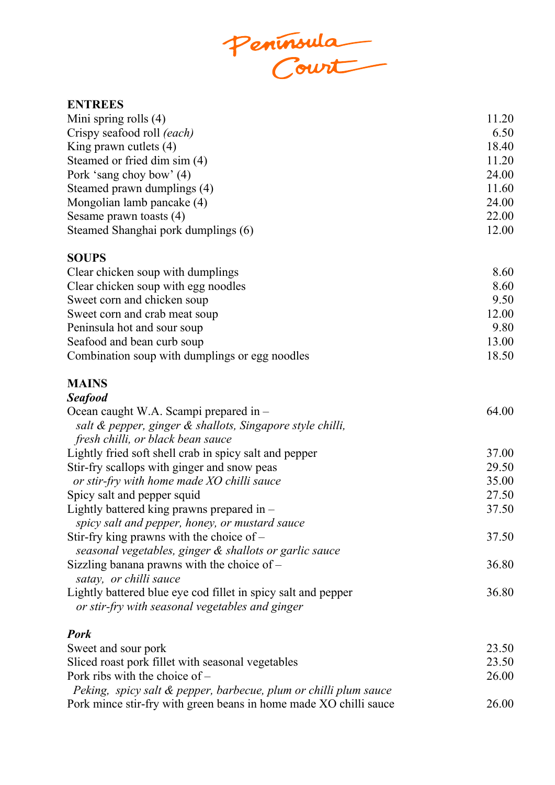Peninsula<br>Court

## **ENTREES**

| Mini spring rolls $(4)$             | 11.20 |
|-------------------------------------|-------|
| Crispy seafood roll <i>(each)</i>   | 6.50  |
| King prawn cutlets $(4)$            | 18.40 |
| Steamed or fried dim sim (4)        | 11.20 |
| Pork 'sang choy bow' (4)            | 24.00 |
| Steamed prawn dumplings (4)         | 11.60 |
| Mongolian lamb pancake (4)          | 24.00 |
| Sesame prawn toasts (4)             | 22.00 |
| Steamed Shanghai pork dumplings (6) | 12.00 |

## **SOUPS**

| Clear chicken soup with dumplings              | 8.60  |
|------------------------------------------------|-------|
| Clear chicken soup with egg noodles            | 8.60  |
| Sweet corn and chicken soup                    | 9.50  |
| Sweet corn and crab meat soup                  | 12.00 |
| Peninsula hot and sour soup                    | 9.80  |
| Seafood and bean curb soup                     | 13.00 |
| Combination soup with dumplings or egg noodles | 18.50 |

## **MAINS** *Seafood*

| seurvou                                                                                                          |       |
|------------------------------------------------------------------------------------------------------------------|-------|
| Ocean caught W.A. Scampi prepared in -                                                                           | 64.00 |
| salt & pepper, ginger & shallots, Singapore style chilli,                                                        |       |
| fresh chilli, or black bean sauce<br>Lightly fried soft shell crab in spicy salt and pepper                      |       |
|                                                                                                                  | 37.00 |
| Stir-fry scallops with ginger and snow peas                                                                      | 29.50 |
| or stir-fry with home made XO chilli sauce                                                                       | 35.00 |
| Spicy salt and pepper squid                                                                                      | 27.50 |
| Lightly battered king prawns prepared in $-$<br>spicy salt and pepper, honey, or mustard sauce                   | 37.50 |
| Stir-fry king prawns with the choice of $-$<br>seasonal vegetables, ginger & shallots or garlic sauce            | 37.50 |
| Sizzling banana prawns with the choice of $-$<br>satay, or chilli sauce                                          | 36.80 |
| Lightly battered blue eye cod fillet in spicy salt and pepper<br>or stir-fry with seasonal vegetables and ginger | 36.80 |
| <b>Pork</b>                                                                                                      |       |
|                                                                                                                  | nd co |

| Sweet and sour pork                                               | 23.50 |
|-------------------------------------------------------------------|-------|
| Sliced roast pork fillet with seasonal vegetables                 | 23.50 |
| Pork ribs with the choice of $-$                                  | 26.00 |
| Peking, spicy salt & pepper, barbecue, plum or chilli plum sauce  |       |
| Pork mince stir-fry with green beans in home made XO chilli sauce | 26.00 |